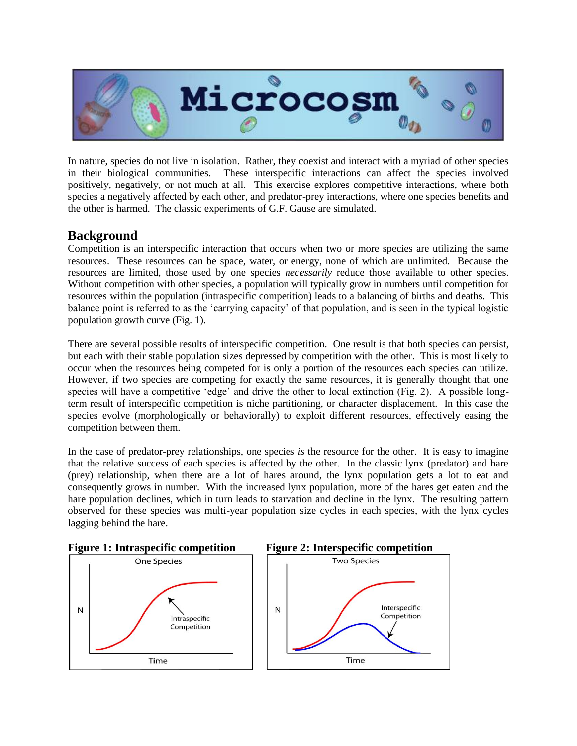

In nature, species do not live in isolation. Rather, they coexist and interact with a myriad of other species in their biological communities. These interspecific interactions can affect the species involved positively, negatively, or not much at all. This exercise explores competitive interactions, where both species a negatively affected by each other, and predator-prey interactions, where one species benefits and the other is harmed. The classic experiments of G.F. Gause are simulated.

## **Background**

Competition is an interspecific interaction that occurs when two or more species are utilizing the same resources. These resources can be space, water, or energy, none of which are unlimited. Because the resources are limited, those used by one species *necessarily* reduce those available to other species. Without competition with other species, a population will typically grow in numbers until competition for resources within the population (intraspecific competition) leads to a balancing of births and deaths. This balance point is referred to as the 'carrying capacity' of that population, and is seen in the typical logistic population growth curve (Fig. 1).

There are several possible results of interspecific competition. One result is that both species can persist, but each with their stable population sizes depressed by competition with the other. This is most likely to occur when the resources being competed for is only a portion of the resources each species can utilize. However, if two species are competing for exactly the same resources, it is generally thought that one species will have a competitive 'edge' and drive the other to local extinction (Fig. 2). A possible longterm result of interspecific competition is niche partitioning, or character displacement. In this case the species evolve (morphologically or behaviorally) to exploit different resources, effectively easing the competition between them.

In the case of predator-prey relationships, one species *is* the resource for the other. It is easy to imagine that the relative success of each species is affected by the other. In the classic lynx (predator) and hare (prey) relationship, when there are a lot of hares around, the lynx population gets a lot to eat and consequently grows in number. With the increased lynx population, more of the hares get eaten and the hare population declines, which in turn leads to starvation and decline in the lynx. The resulting pattern observed for these species was multi-year population size cycles in each species, with the lynx cycles lagging behind the hare.

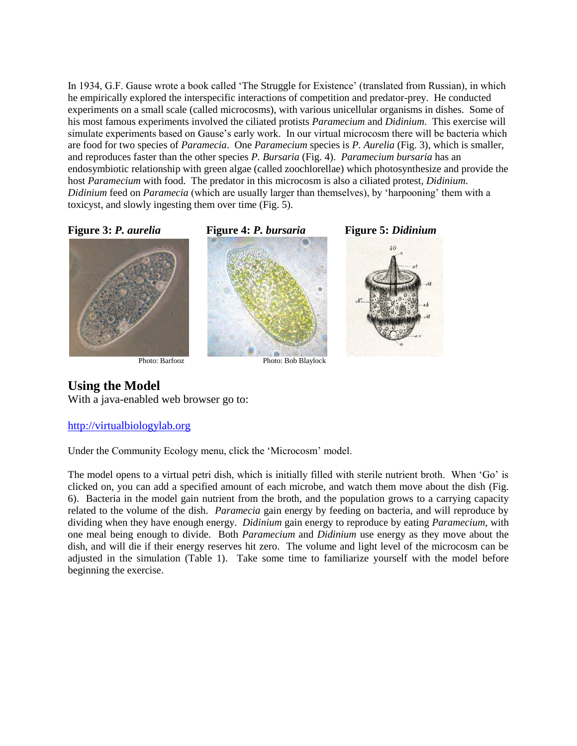In 1934, G.F. Gause wrote a book called 'The Struggle for Existence' (translated from Russian), in which he empirically explored the interspecific interactions of competition and predator-prey. He conducted experiments on a small scale (called microcosms), with various unicellular organisms in dishes. Some of his most famous experiments involved the ciliated protists *Paramecium* and *Didinium*. This exercise will simulate experiments based on Gause's early work. In our virtual microcosm there will be bacteria which are food for two species of *Paramecia*. One *Paramecium* species is *P. Aurelia* (Fig. 3), which is smaller, and reproduces faster than the other species *P. Bursaria* (Fig. 4). *Paramecium bursaria* has an endosymbiotic relationship with green algae (called zoochlorellae) which photosynthesize and provide the host *Paramecium* with food. The predator in this microcosm is also a ciliated protest, *Didinium*. *Didinium* feed on *Paramecia* (which are usually larger than themselves), by 'harpooning' them with a toxicyst, and slowly ingesting them over time (Fig. 5).



## **Using the Model**

With a java-enabled web browser go to:

## [http://virtualbiologylab.org](http://virtualbiologylab.org/Microcosm.htm)

Under the Community Ecology menu, click the 'Microcosm' model.

The model opens to a virtual petri dish, which is initially filled with sterile nutrient broth. When 'Go' is clicked on, you can add a specified amount of each microbe, and watch them move about the dish (Fig. 6). Bacteria in the model gain nutrient from the broth, and the population grows to a carrying capacity related to the volume of the dish. *Paramecia* gain energy by feeding on bacteria, and will reproduce by dividing when they have enough energy. *Didinium* gain energy to reproduce by eating *Paramecium*, with one meal being enough to divide. Both *Paramecium* and *Didinium* use energy as they move about the dish, and will die if their energy reserves hit zero. The volume and light level of the microcosm can be adjusted in the simulation (Table 1). Take some time to familiarize yourself with the model before beginning the exercise.